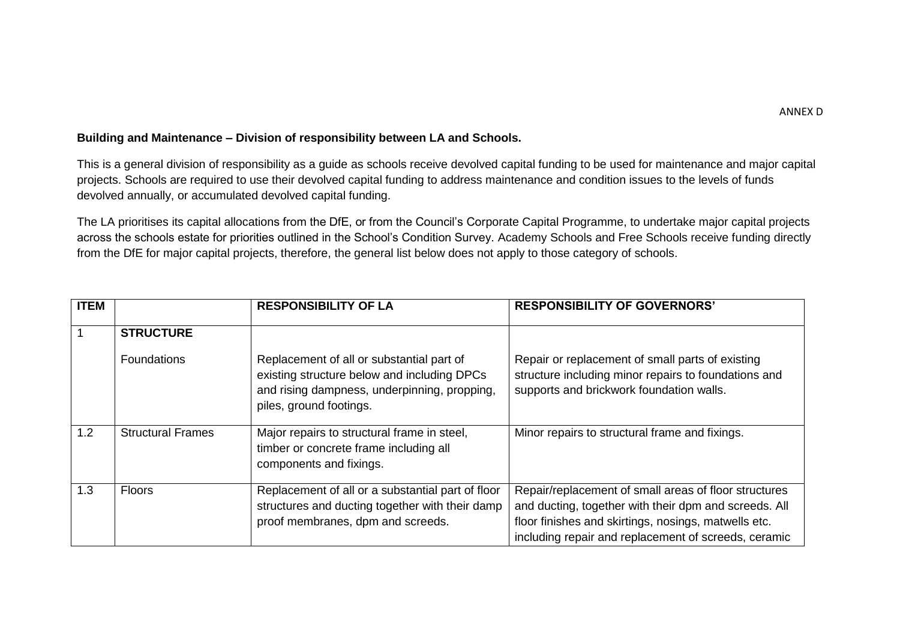## **Building and Maintenance – Division of responsibility between LA and Schools.**

This is a general division of responsibility as a guide as schools receive devolved capital funding to be used for maintenance and major capital projects. Schools are required to use their devolved capital funding to address maintenance and condition issues to the levels of funds devolved annually, or accumulated devolved capital funding.

The LA prioritises its capital allocations from the DfE, or from the Council's Corporate Capital Programme, to undertake major capital projects across the schools estate for priorities outlined in the School's Condition Survey. Academy Schools and Free Schools receive funding directly from the DfE for major capital projects, therefore, the general list below does not apply to those category of schools.

| <b>ITEM</b> |                          | <b>RESPONSIBILITY OF LA</b>                                                                                                                                         | <b>RESPONSIBILITY OF GOVERNORS'</b>                                                                                                                                                                                            |
|-------------|--------------------------|---------------------------------------------------------------------------------------------------------------------------------------------------------------------|--------------------------------------------------------------------------------------------------------------------------------------------------------------------------------------------------------------------------------|
|             | <b>STRUCTURE</b>         |                                                                                                                                                                     |                                                                                                                                                                                                                                |
|             | <b>Foundations</b>       | Replacement of all or substantial part of<br>existing structure below and including DPCs<br>and rising dampness, underpinning, propping,<br>piles, ground footings. | Repair or replacement of small parts of existing<br>structure including minor repairs to foundations and<br>supports and brickwork foundation walls.                                                                           |
| 1.2         | <b>Structural Frames</b> | Major repairs to structural frame in steel,<br>timber or concrete frame including all<br>components and fixings.                                                    | Minor repairs to structural frame and fixings.                                                                                                                                                                                 |
| 1.3         | <b>Floors</b>            | Replacement of all or a substantial part of floor<br>structures and ducting together with their damp<br>proof membranes, dpm and screeds.                           | Repair/replacement of small areas of floor structures<br>and ducting, together with their dpm and screeds. All<br>floor finishes and skirtings, nosings, matwells etc.<br>including repair and replacement of screeds, ceramic |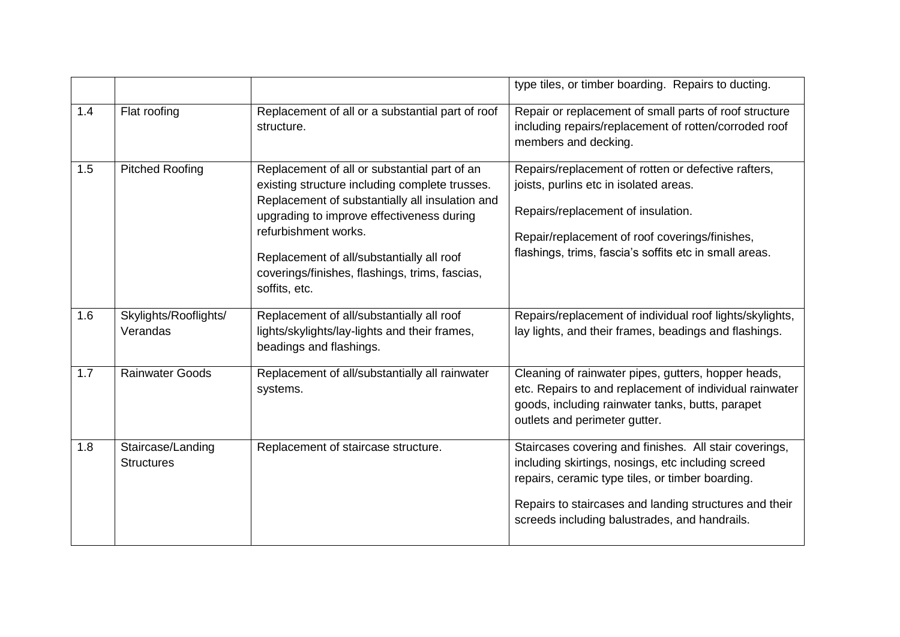|     |                                        |                                                                                                                                                                                                                                                                                                                                        | type tiles, or timber boarding. Repairs to ducting.                                                                                                                                                                                                                         |
|-----|----------------------------------------|----------------------------------------------------------------------------------------------------------------------------------------------------------------------------------------------------------------------------------------------------------------------------------------------------------------------------------------|-----------------------------------------------------------------------------------------------------------------------------------------------------------------------------------------------------------------------------------------------------------------------------|
| 1.4 | Flat roofing                           | Replacement of all or a substantial part of roof<br>structure.                                                                                                                                                                                                                                                                         | Repair or replacement of small parts of roof structure<br>including repairs/replacement of rotten/corroded roof<br>members and decking.                                                                                                                                     |
| 1.5 | <b>Pitched Roofing</b>                 | Replacement of all or substantial part of an<br>existing structure including complete trusses.<br>Replacement of substantially all insulation and<br>upgrading to improve effectiveness during<br>refurbishment works.<br>Replacement of all/substantially all roof<br>coverings/finishes, flashings, trims, fascias,<br>soffits, etc. | Repairs/replacement of rotten or defective rafters,<br>joists, purlins etc in isolated areas.<br>Repairs/replacement of insulation.<br>Repair/replacement of roof coverings/finishes,<br>flashings, trims, fascia's soffits etc in small areas.                             |
| 1.6 | Skylights/Rooflights/<br>Verandas      | Replacement of all/substantially all roof<br>lights/skylights/lay-lights and their frames,<br>beadings and flashings.                                                                                                                                                                                                                  | Repairs/replacement of individual roof lights/skylights,<br>lay lights, and their frames, beadings and flashings.                                                                                                                                                           |
| 1.7 | <b>Rainwater Goods</b>                 | Replacement of all/substantially all rainwater<br>systems.                                                                                                                                                                                                                                                                             | Cleaning of rainwater pipes, gutters, hopper heads,<br>etc. Repairs to and replacement of individual rainwater<br>goods, including rainwater tanks, butts, parapet<br>outlets and perimeter gutter.                                                                         |
| 1.8 | Staircase/Landing<br><b>Structures</b> | Replacement of staircase structure.                                                                                                                                                                                                                                                                                                    | Staircases covering and finishes. All stair coverings,<br>including skirtings, nosings, etc including screed<br>repairs, ceramic type tiles, or timber boarding.<br>Repairs to staircases and landing structures and their<br>screeds including balustrades, and handrails. |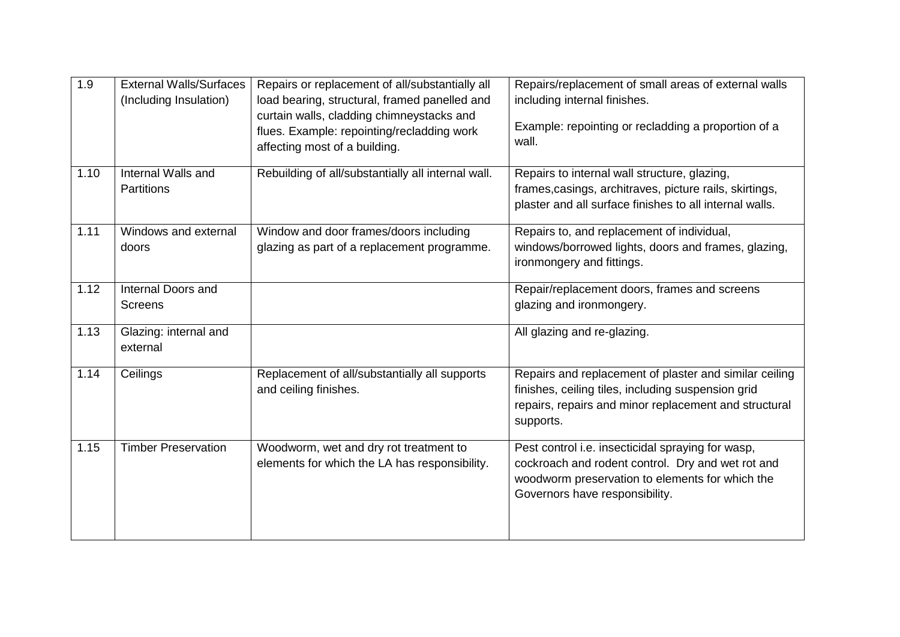| 1.9  | <b>External Walls/Surfaces</b><br>(Including Insulation) | Repairs or replacement of all/substantially all<br>load bearing, structural, framed panelled and<br>curtain walls, cladding chimneystacks and<br>flues. Example: repointing/recladding work<br>affecting most of a building. | Repairs/replacement of small areas of external walls<br>including internal finishes.<br>Example: repointing or recladding a proportion of a<br>wall.                                        |
|------|----------------------------------------------------------|------------------------------------------------------------------------------------------------------------------------------------------------------------------------------------------------------------------------------|---------------------------------------------------------------------------------------------------------------------------------------------------------------------------------------------|
| 1.10 | Internal Walls and<br><b>Partitions</b>                  | Rebuilding of all/substantially all internal wall.                                                                                                                                                                           | Repairs to internal wall structure, glazing,<br>frames, casings, architraves, picture rails, skirtings,<br>plaster and all surface finishes to all internal walls.                          |
| 1.11 | Windows and external<br>doors                            | Window and door frames/doors including<br>glazing as part of a replacement programme.                                                                                                                                        | Repairs to, and replacement of individual,<br>windows/borrowed lights, doors and frames, glazing,<br>ironmongery and fittings.                                                              |
| 1.12 | Internal Doors and<br><b>Screens</b>                     |                                                                                                                                                                                                                              | Repair/replacement doors, frames and screens<br>glazing and ironmongery.                                                                                                                    |
| 1.13 | Glazing: internal and<br>external                        |                                                                                                                                                                                                                              | All glazing and re-glazing.                                                                                                                                                                 |
| 1.14 | Ceilings                                                 | Replacement of all/substantially all supports<br>and ceiling finishes.                                                                                                                                                       | Repairs and replacement of plaster and similar ceiling<br>finishes, ceiling tiles, including suspension grid<br>repairs, repairs and minor replacement and structural<br>supports.          |
| 1.15 | <b>Timber Preservation</b>                               | Woodworm, wet and dry rot treatment to<br>elements for which the LA has responsibility.                                                                                                                                      | Pest control i.e. insecticidal spraying for wasp,<br>cockroach and rodent control. Dry and wet rot and<br>woodworm preservation to elements for which the<br>Governors have responsibility. |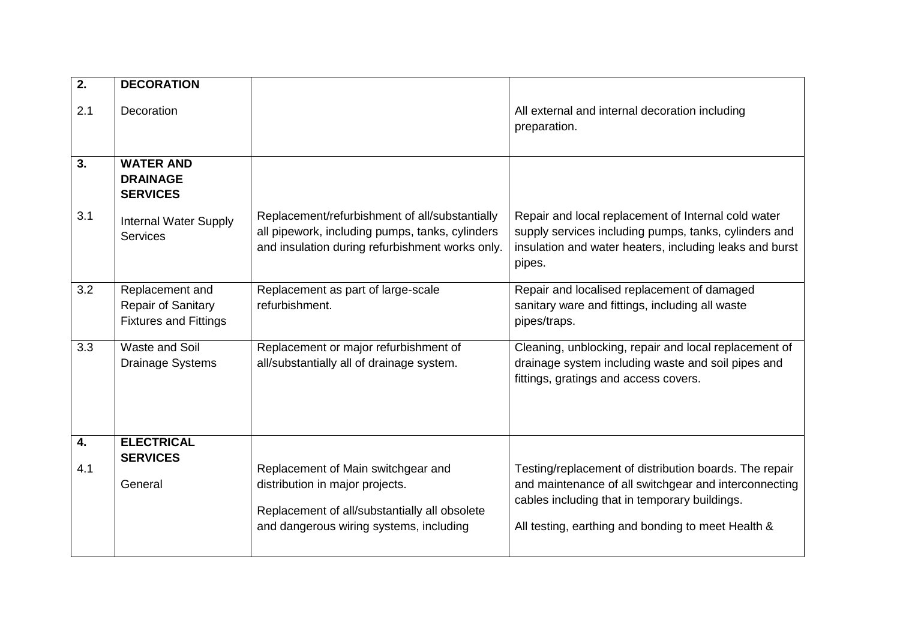| $\overline{2}$ . | <b>DECORATION</b>                                                     |                                                                                                                                                                   |                                                                                                                                                                                                                        |
|------------------|-----------------------------------------------------------------------|-------------------------------------------------------------------------------------------------------------------------------------------------------------------|------------------------------------------------------------------------------------------------------------------------------------------------------------------------------------------------------------------------|
| 2.1              | Decoration                                                            |                                                                                                                                                                   | All external and internal decoration including<br>preparation.                                                                                                                                                         |
| 3.               | <b>WATER AND</b><br><b>DRAINAGE</b><br><b>SERVICES</b>                |                                                                                                                                                                   |                                                                                                                                                                                                                        |
| 3.1              | <b>Internal Water Supply</b><br><b>Services</b>                       | Replacement/refurbishment of all/substantially<br>all pipework, including pumps, tanks, cylinders<br>and insulation during refurbishment works only.              | Repair and local replacement of Internal cold water<br>supply services including pumps, tanks, cylinders and<br>insulation and water heaters, including leaks and burst<br>pipes.                                      |
| 3.2              | Replacement and<br>Repair of Sanitary<br><b>Fixtures and Fittings</b> | Replacement as part of large-scale<br>refurbishment.                                                                                                              | Repair and localised replacement of damaged<br>sanitary ware and fittings, including all waste<br>pipes/traps.                                                                                                         |
| 3.3              | Waste and Soil<br><b>Drainage Systems</b>                             | Replacement or major refurbishment of<br>all/substantially all of drainage system.                                                                                | Cleaning, unblocking, repair and local replacement of<br>drainage system including waste and soil pipes and<br>fittings, gratings and access covers.                                                                   |
| 4.<br>4.1        | <b>ELECTRICAL</b><br><b>SERVICES</b><br>General                       | Replacement of Main switchgear and<br>distribution in major projects.<br>Replacement of all/substantially all obsolete<br>and dangerous wiring systems, including | Testing/replacement of distribution boards. The repair<br>and maintenance of all switchgear and interconnecting<br>cables including that in temporary buildings.<br>All testing, earthing and bonding to meet Health & |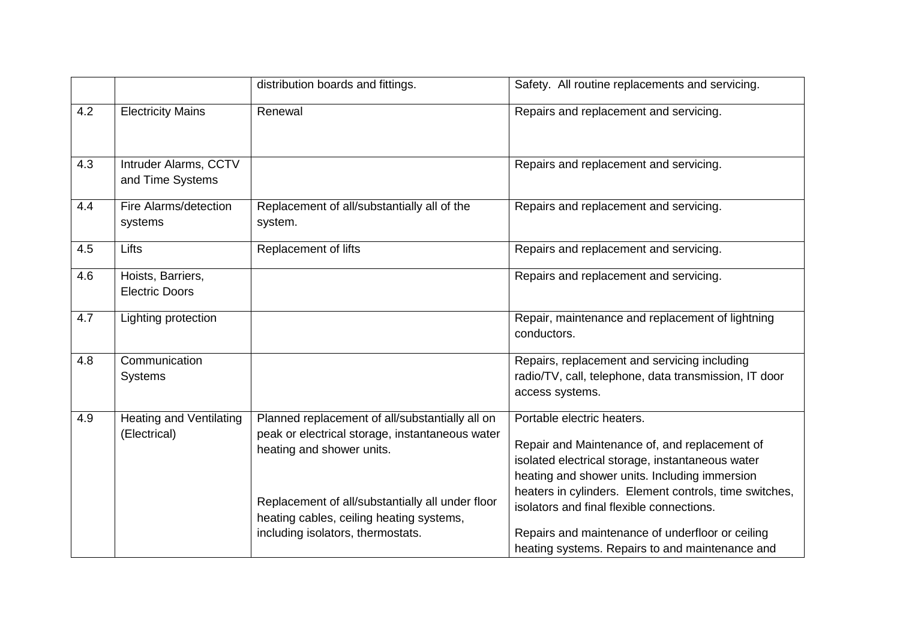|     |                                                | distribution boards and fittings.                                                                                                                                                                                                                                    | Safety. All routine replacements and servicing.                                                                                                                                                                                                                                                                                                                                                |
|-----|------------------------------------------------|----------------------------------------------------------------------------------------------------------------------------------------------------------------------------------------------------------------------------------------------------------------------|------------------------------------------------------------------------------------------------------------------------------------------------------------------------------------------------------------------------------------------------------------------------------------------------------------------------------------------------------------------------------------------------|
| 4.2 | <b>Electricity Mains</b>                       | Renewal                                                                                                                                                                                                                                                              | Repairs and replacement and servicing.                                                                                                                                                                                                                                                                                                                                                         |
| 4.3 | Intruder Alarms, CCTV<br>and Time Systems      |                                                                                                                                                                                                                                                                      | Repairs and replacement and servicing.                                                                                                                                                                                                                                                                                                                                                         |
| 4.4 | Fire Alarms/detection<br>systems               | Replacement of all/substantially all of the<br>system.                                                                                                                                                                                                               | Repairs and replacement and servicing.                                                                                                                                                                                                                                                                                                                                                         |
| 4.5 | Lifts                                          | Replacement of lifts                                                                                                                                                                                                                                                 | Repairs and replacement and servicing.                                                                                                                                                                                                                                                                                                                                                         |
| 4.6 | Hoists, Barriers,<br><b>Electric Doors</b>     |                                                                                                                                                                                                                                                                      | Repairs and replacement and servicing.                                                                                                                                                                                                                                                                                                                                                         |
| 4.7 | Lighting protection                            |                                                                                                                                                                                                                                                                      | Repair, maintenance and replacement of lightning<br>conductors.                                                                                                                                                                                                                                                                                                                                |
| 4.8 | Communication<br><b>Systems</b>                |                                                                                                                                                                                                                                                                      | Repairs, replacement and servicing including<br>radio/TV, call, telephone, data transmission, IT door<br>access systems.                                                                                                                                                                                                                                                                       |
| 4.9 | <b>Heating and Ventilating</b><br>(Electrical) | Planned replacement of all/substantially all on<br>peak or electrical storage, instantaneous water<br>heating and shower units.<br>Replacement of all/substantially all under floor<br>heating cables, ceiling heating systems,<br>including isolators, thermostats. | Portable electric heaters.<br>Repair and Maintenance of, and replacement of<br>isolated electrical storage, instantaneous water<br>heating and shower units. Including immersion<br>heaters in cylinders. Element controls, time switches,<br>isolators and final flexible connections.<br>Repairs and maintenance of underfloor or ceiling<br>heating systems. Repairs to and maintenance and |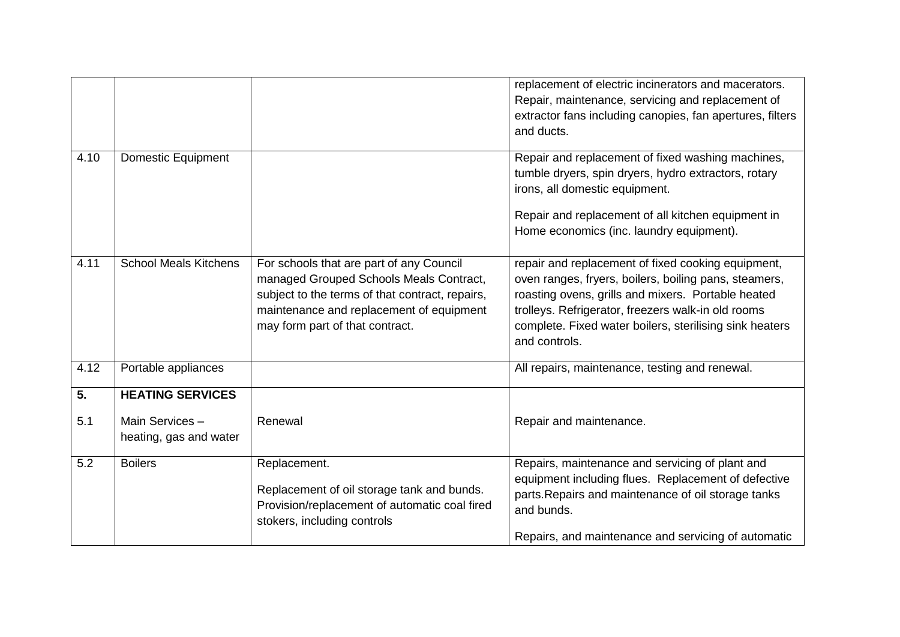|                  |                                          |                                                                                                                                                                                                                       | replacement of electric incinerators and macerators.<br>Repair, maintenance, servicing and replacement of<br>extractor fans including canopies, fan apertures, filters<br>and ducts.                                                                                                                |
|------------------|------------------------------------------|-----------------------------------------------------------------------------------------------------------------------------------------------------------------------------------------------------------------------|-----------------------------------------------------------------------------------------------------------------------------------------------------------------------------------------------------------------------------------------------------------------------------------------------------|
| 4.10             | <b>Domestic Equipment</b>                |                                                                                                                                                                                                                       | Repair and replacement of fixed washing machines,<br>tumble dryers, spin dryers, hydro extractors, rotary<br>irons, all domestic equipment.<br>Repair and replacement of all kitchen equipment in<br>Home economics (inc. laundry equipment).                                                       |
| 4.11             | <b>School Meals Kitchens</b>             | For schools that are part of any Council<br>managed Grouped Schools Meals Contract,<br>subject to the terms of that contract, repairs,<br>maintenance and replacement of equipment<br>may form part of that contract. | repair and replacement of fixed cooking equipment,<br>oven ranges, fryers, boilers, boiling pans, steamers,<br>roasting ovens, grills and mixers. Portable heated<br>trolleys. Refrigerator, freezers walk-in old rooms<br>complete. Fixed water boilers, sterilising sink heaters<br>and controls. |
| 4.12             | Portable appliances                      |                                                                                                                                                                                                                       | All repairs, maintenance, testing and renewal.                                                                                                                                                                                                                                                      |
| $\overline{5}$ . | <b>HEATING SERVICES</b>                  |                                                                                                                                                                                                                       |                                                                                                                                                                                                                                                                                                     |
| 5.1              | Main Services-<br>heating, gas and water | Renewal                                                                                                                                                                                                               | Repair and maintenance.                                                                                                                                                                                                                                                                             |
| 5.2              | <b>Boilers</b>                           | Replacement.<br>Replacement of oil storage tank and bunds.<br>Provision/replacement of automatic coal fired<br>stokers, including controls                                                                            | Repairs, maintenance and servicing of plant and<br>equipment including flues. Replacement of defective<br>parts. Repairs and maintenance of oil storage tanks<br>and bunds.<br>Repairs, and maintenance and servicing of automatic                                                                  |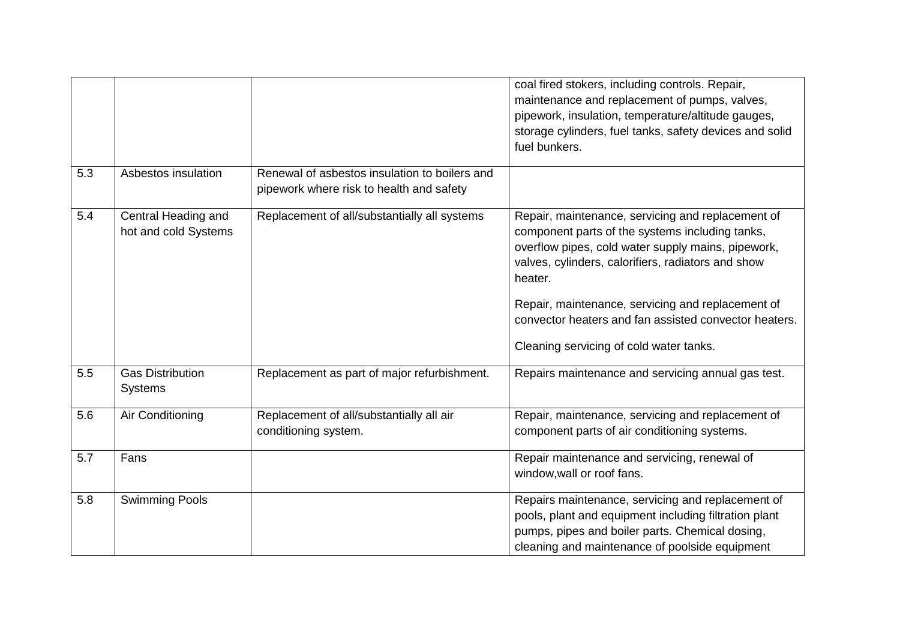|     |                                             |                                                                                           | coal fired stokers, including controls. Repair,<br>maintenance and replacement of pumps, valves,<br>pipework, insulation, temperature/altitude gauges,<br>storage cylinders, fuel tanks, safety devices and solid<br>fuel bunkers.                                                                                                                                                   |
|-----|---------------------------------------------|-------------------------------------------------------------------------------------------|--------------------------------------------------------------------------------------------------------------------------------------------------------------------------------------------------------------------------------------------------------------------------------------------------------------------------------------------------------------------------------------|
| 5.3 | Asbestos insulation                         | Renewal of asbestos insulation to boilers and<br>pipework where risk to health and safety |                                                                                                                                                                                                                                                                                                                                                                                      |
| 5.4 | Central Heading and<br>hot and cold Systems | Replacement of all/substantially all systems                                              | Repair, maintenance, servicing and replacement of<br>component parts of the systems including tanks,<br>overflow pipes, cold water supply mains, pipework,<br>valves, cylinders, calorifiers, radiators and show<br>heater.<br>Repair, maintenance, servicing and replacement of<br>convector heaters and fan assisted convector heaters.<br>Cleaning servicing of cold water tanks. |
| 5.5 | <b>Gas Distribution</b><br><b>Systems</b>   | Replacement as part of major refurbishment.                                               | Repairs maintenance and servicing annual gas test.                                                                                                                                                                                                                                                                                                                                   |
| 5.6 | Air Conditioning                            | Replacement of all/substantially all air<br>conditioning system.                          | Repair, maintenance, servicing and replacement of<br>component parts of air conditioning systems.                                                                                                                                                                                                                                                                                    |
| 5.7 | Fans                                        |                                                                                           | Repair maintenance and servicing, renewal of<br>window, wall or roof fans.                                                                                                                                                                                                                                                                                                           |
| 5.8 | <b>Swimming Pools</b>                       |                                                                                           | Repairs maintenance, servicing and replacement of<br>pools, plant and equipment including filtration plant<br>pumps, pipes and boiler parts. Chemical dosing,<br>cleaning and maintenance of poolside equipment                                                                                                                                                                      |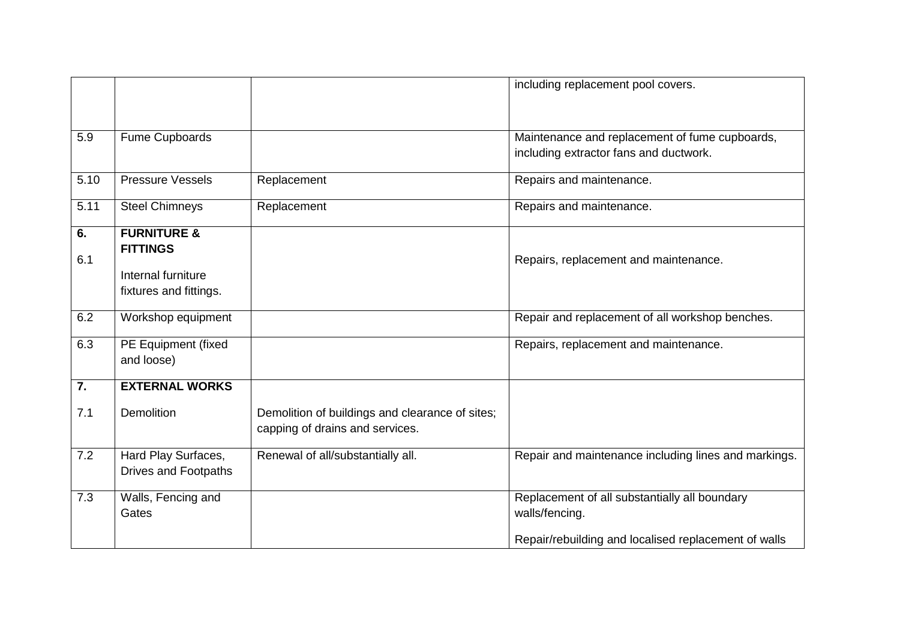|      |                         |                                                 | including replacement pool covers.                   |
|------|-------------------------|-------------------------------------------------|------------------------------------------------------|
|      |                         |                                                 |                                                      |
| 5.9  | Fume Cupboards          |                                                 | Maintenance and replacement of fume cupboards,       |
|      |                         |                                                 | including extractor fans and ductwork.               |
| 5.10 | <b>Pressure Vessels</b> | Replacement                                     | Repairs and maintenance.                             |
| 5.11 | <b>Steel Chimneys</b>   | Replacement                                     | Repairs and maintenance.                             |
| 6.   | <b>FURNITURE &amp;</b>  |                                                 |                                                      |
| 6.1  | <b>FITTINGS</b>         |                                                 | Repairs, replacement and maintenance.                |
|      | Internal furniture      |                                                 |                                                      |
|      | fixtures and fittings.  |                                                 |                                                      |
| 6.2  | Workshop equipment      |                                                 | Repair and replacement of all workshop benches.      |
| 6.3  | PE Equipment (fixed     |                                                 | Repairs, replacement and maintenance.                |
|      | and loose)              |                                                 |                                                      |
| 7.   | <b>EXTERNAL WORKS</b>   |                                                 |                                                      |
| 7.1  | <b>Demolition</b>       | Demolition of buildings and clearance of sites; |                                                      |
|      |                         | capping of drains and services.                 |                                                      |
| 7.2  | Hard Play Surfaces,     | Renewal of all/substantially all.               | Repair and maintenance including lines and markings. |
|      | Drives and Footpaths    |                                                 |                                                      |
| 7.3  | Walls, Fencing and      |                                                 | Replacement of all substantially all boundary        |
|      | Gates                   |                                                 | walls/fencing.                                       |
|      |                         |                                                 | Repair/rebuilding and localised replacement of walls |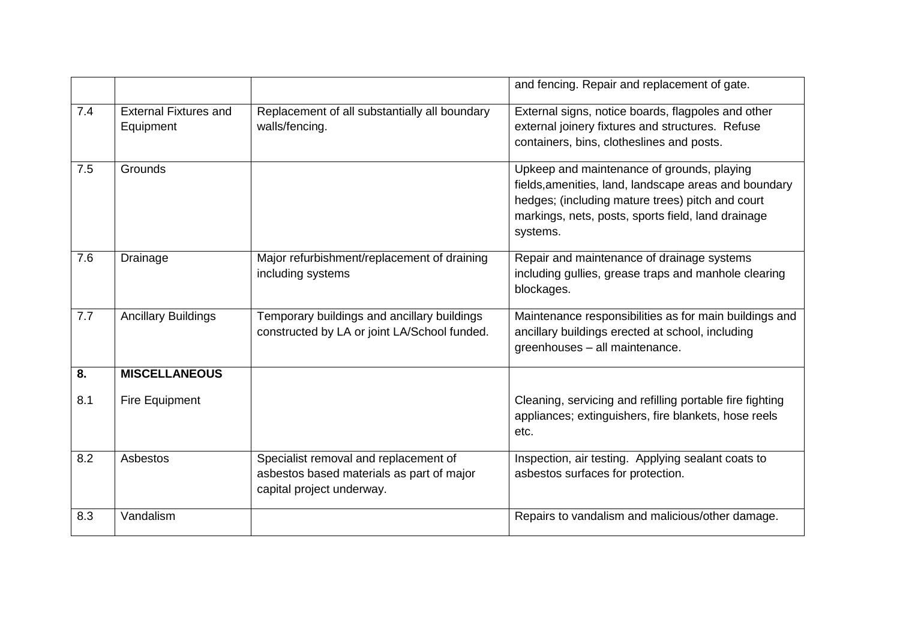|     |                                           |                                                                                                                 | and fencing. Repair and replacement of gate.                                                                                                                                                                              |
|-----|-------------------------------------------|-----------------------------------------------------------------------------------------------------------------|---------------------------------------------------------------------------------------------------------------------------------------------------------------------------------------------------------------------------|
| 7.4 | <b>External Fixtures and</b><br>Equipment | Replacement of all substantially all boundary<br>walls/fencing.                                                 | External signs, notice boards, flagpoles and other<br>external joinery fixtures and structures. Refuse<br>containers, bins, clotheslines and posts.                                                                       |
| 7.5 | Grounds                                   |                                                                                                                 | Upkeep and maintenance of grounds, playing<br>fields, amenities, land, landscape areas and boundary<br>hedges; (including mature trees) pitch and court<br>markings, nets, posts, sports field, land drainage<br>systems. |
| 7.6 | Drainage                                  | Major refurbishment/replacement of draining<br>including systems                                                | Repair and maintenance of drainage systems<br>including gullies, grease traps and manhole clearing<br>blockages.                                                                                                          |
| 7.7 | <b>Ancillary Buildings</b>                | Temporary buildings and ancillary buildings<br>constructed by LA or joint LA/School funded.                     | Maintenance responsibilities as for main buildings and<br>ancillary buildings erected at school, including<br>greenhouses - all maintenance.                                                                              |
| 8.  | <b>MISCELLANEOUS</b>                      |                                                                                                                 |                                                                                                                                                                                                                           |
| 8.1 | Fire Equipment                            |                                                                                                                 | Cleaning, servicing and refilling portable fire fighting<br>appliances; extinguishers, fire blankets, hose reels<br>etc.                                                                                                  |
| 8.2 | Asbestos                                  | Specialist removal and replacement of<br>asbestos based materials as part of major<br>capital project underway. | Inspection, air testing. Applying sealant coats to<br>asbestos surfaces for protection.                                                                                                                                   |
| 8.3 | Vandalism                                 |                                                                                                                 | Repairs to vandalism and malicious/other damage.                                                                                                                                                                          |